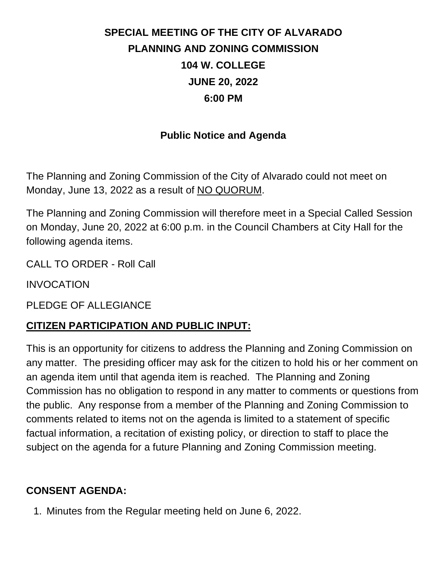# **SPECIAL MEETING OF THE CITY OF ALVARADO PLANNING AND ZONING COMMISSION 104 W. COLLEGE JUNE 20, 2022 6:00 PM**

## **Public Notice and Agenda**

The Planning and Zoning Commission of the City of Alvarado could not meet on Monday, June 13, 2022 as a result of NO QUORUM.

The Planning and Zoning Commission will therefore meet in a Special Called Session on Monday, June 20, 2022 at 6:00 p.m. in the Council Chambers at City Hall for the following agenda items.

CALL TO ORDER - Roll Call

INVOCATION

PLEDGE OF ALLEGIANCE

## **CITIZEN PARTICIPATION AND PUBLIC INPUT:**

This is an opportunity for citizens to address the Planning and Zoning Commission on any matter. The presiding officer may ask for the citizen to hold his or her comment on an agenda item until that agenda item is reached. The Planning and Zoning Commission has no obligation to respond in any matter to comments or questions from the public. Any response from a member of the Planning and Zoning Commission to comments related to items not on the agenda is limited to a statement of specific factual information, a recitation of existing policy, or direction to staff to place the subject on the agenda for a future Planning and Zoning Commission meeting.

## **CONSENT AGENDA:**

1. Minutes from the Regular meeting held on June 6, 2022.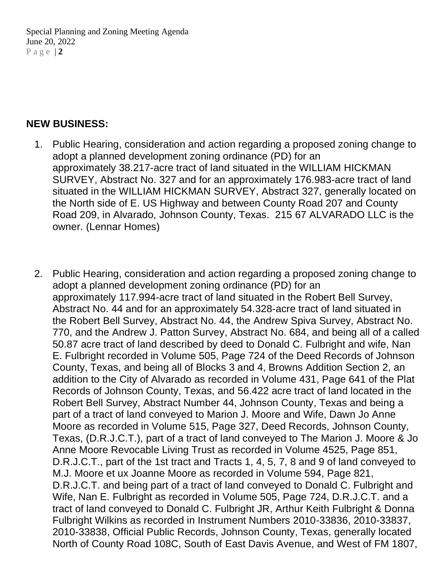Special Planning and Zoning Meeting Agenda June 20, 2022 P a g e | **2**

#### **NEW BUSINESS:**

- 1. Public Hearing, consideration and action regarding a proposed zoning change to adopt a planned development zoning ordinance (PD) for an approximately 38.217-acre tract of land situated in the WILLIAM HICKMAN SURVEY, Abstract No. 327 and for an approximately 176.983-acre tract of land situated in the WILLIAM HICKMAN SURVEY, Abstract 327, generally located on the North side of E. US Highway and between County Road 207 and County Road 209, in Alvarado, Johnson County, Texas. 215 67 ALVARADO LLC is the owner. (Lennar Homes)
- 2. Public Hearing, consideration and action regarding a proposed zoning change to adopt a planned development zoning ordinance (PD) for an approximately 117.994-acre tract of land situated in the Robert Bell Survey, Abstract No. 44 and for an approximately 54.328-acre tract of land situated in the Robert Bell Survey, Abstract No. 44, the Andrew Spiva Survey, Abstract No. 770, and the Andrew J. Patton Survey, Abstract No. 684, and being all of a called 50.87 acre tract of land described by deed to Donald C. Fulbright and wife, Nan E. Fulbright recorded in Volume 505, Page 724 of the Deed Records of Johnson County, Texas, and being all of Blocks 3 and 4, Browns Addition Section 2, an addition to the City of Alvarado as recorded in Volume 431, Page 641 of the Plat Records of Johnson County, Texas, and 56.422 acre tract of land located in the Robert Bell Survey, Abstract Number 44, Johnson County, Texas and being a part of a tract of land conveyed to Marion J. Moore and Wife, Dawn Jo Anne Moore as recorded in Volume 515, Page 327, Deed Records, Johnson County, Texas, (D.R.J.C.T.), part of a tract of land conveyed to The Marion J. Moore & Jo Anne Moore Revocable Living Trust as recorded in Volume 4525, Page 851, D.R.J.C.T., part of the 1st tract and Tracts 1, 4, 5, 7, 8 and 9 of land conveyed to M.J. Moore et ux Joanne Moore as recorded in Volume 594, Page 821, D.R.J.C.T. and being part of a tract of land conveyed to Donald C. Fulbright and Wife, Nan E. Fulbright as recorded in Volume 505, Page 724, D.R.J.C.T. and a tract of land conveyed to Donald C. Fulbright JR, Arthur Keith Fulbright & Donna Fulbright Wilkins as recorded in Instrument Numbers 2010-33836, 2010-33837, 2010-33838, Official Public Records, Johnson County, Texas, generally located North of County Road 108C, South of East Davis Avenue, and West of FM 1807,